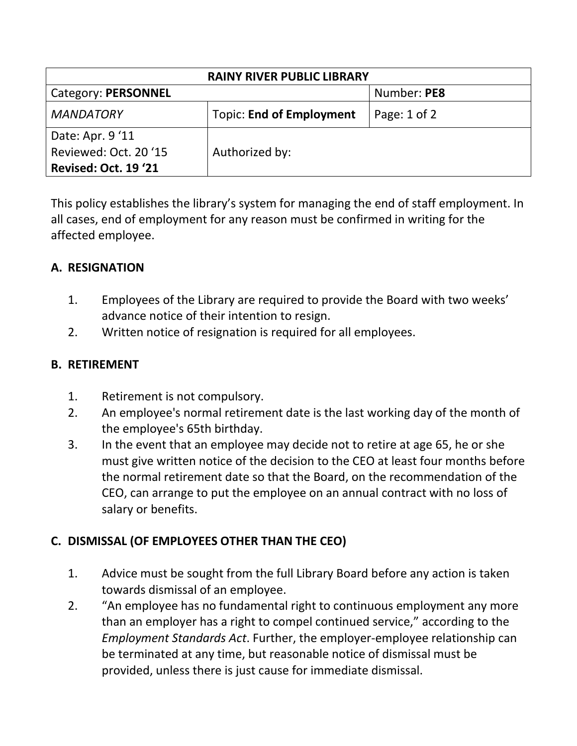| <b>RAINY RIVER PUBLIC LIBRARY</b> |                                 |                  |  |
|-----------------------------------|---------------------------------|------------------|--|
| Category: PERSONNEL               |                                 | Number: PE8      |  |
| <b>MANDATORY</b>                  | <b>Topic: End of Employment</b> | Page: $1$ of $2$ |  |
| Date: Apr. 9'11                   |                                 |                  |  |
| Reviewed: Oct. 20'15              | Authorized by:                  |                  |  |
| <b>Revised: Oct. 19 '21</b>       |                                 |                  |  |

This policy establishes the library's system for managing the end of staff employment. In all cases, end of employment for any reason must be confirmed in writing for the affected employee.

## **A. RESIGNATION**

- 1. Employees of the Library are required to provide the Board with two weeks' advance notice of their intention to resign.
- 2. Written notice of resignation is required for all employees.

## **B. RETIREMENT**

- 1. Retirement is not compulsory.
- 2. An employee's normal retirement date is the last working day of the month of the employee's 65th birthday.
- 3. In the event that an employee may decide not to retire at age 65, he or she must give written notice of the decision to the CEO at least four months before the normal retirement date so that the Board, on the recommendation of the CEO, can arrange to put the employee on an annual contract with no loss of salary or benefits.

## **C. DISMISSAL (OF EMPLOYEES OTHER THAN THE CEO)**

- 1. Advice must be sought from the full Library Board before any action is taken towards dismissal of an employee.
- 2. "An employee has no fundamental right to continuous employment any more than an employer has a right to compel continued service," according to the *Employment Standards Act*. Further, the employer-employee relationship can be terminated at any time, but reasonable notice of dismissal must be provided, unless there is just cause for immediate dismissal.